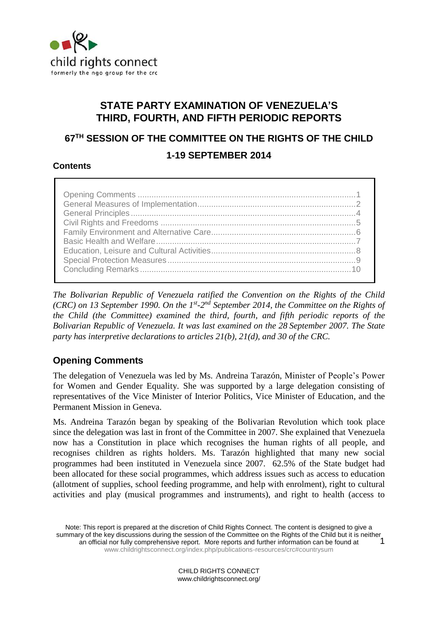

# **STATE PARTY EXAMINATION OF VENEZUELA'S THIRD, FOURTH, AND FIFTH PERIODIC REPORTS**

# **67TH SESSION OF THE COMMITTEE ON THE RIGHTS OF THE CHILD 1-19 SEPTEMBER 2014**

# **Contents**

*The Bolivarian Republic of Venezuela ratified the Convention on the Rights of the Child (CRC)* on 13 September 1990. On the 1<sup>st</sup>-2<sup>nd</sup> September 2014, the Committee on the Rights of *the Child (the Committee) examined the third, fourth, and fifth periodic reports of the Bolivarian Republic of Venezuela. It was last examined on the 28 September 2007. The State party has interpretive declarations to articles 21(b), 21(d), and 30 of the CRC.*

# **Opening Comments**

The delegation of Venezuela was led by Ms. Andreina Tarazón, Minister of People's Power for Women and Gender Equality*.* She was supported by a large delegation consisting of representatives of the Vice Minister of Interior Politics, Vice Minister of Education, and the Permanent Mission in Geneva.

Ms. Andreina Tarazón began by speaking of the Bolivarian Revolution which took place since the delegation was last in front of the Committee in 2007. She explained that Venezuela now has a Constitution in place which recognises the human rights of all people, and recognises children as rights holders. Ms. Tarazón highlighted that many new social programmes had been instituted in Venezuela since 2007. 62.5% of the State budget had been allocated for these social programmes, which address issues such as access to education (allotment of supplies, school feeding programme, and help with enrolment), right to cultural activities and play (musical programmes and instruments), and right to health (access to

Note: This report is prepared at the discretion of Child Rights Connect. The content is designed to give a summary of the key discussions during the session of the Committee on the Rights of the Child but it is neither an official nor fully comprehensive report. More reports and further information can be found at [www.childrightsconnect.org/index.php/publications-resources/crc#countrysum](http://www.childrightsconnect.org/index.php/publications-resources/crc#countrysum) 1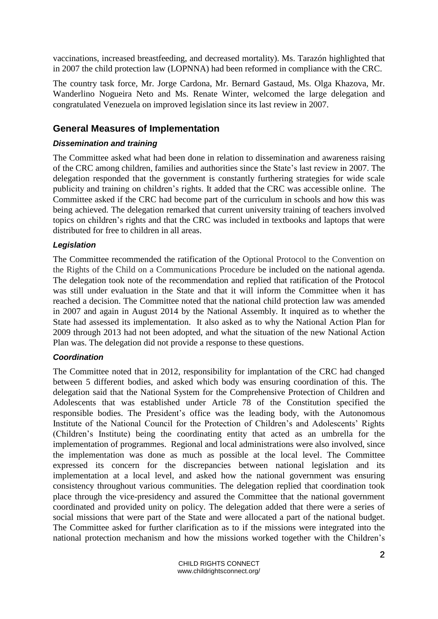vaccinations, increased breastfeeding, and decreased mortality). Ms. Tarazón highlighted that in 2007 the child protection law (LOPNNA) had been reformed in compliance with the CRC.

The country task force, Mr. Jorge Cardona, Mr. Bernard Gastaud, Ms. Olga Khazova, Mr. Wanderlino Nogueira Neto and Ms. Renate Winter, welcomed the large delegation and congratulated Venezuela on improved legislation since its last review in 2007.

## **General Measures of Implementation**

#### *Dissemination and training*

The Committee asked what had been done in relation to dissemination and awareness raising of the CRC among children, families and authorities since the State's last review in 2007. The delegation responded that the government is constantly furthering strategies for wide scale publicity and training on children's rights. It added that the CRC was accessible online. The Committee asked if the CRC had become part of the curriculum in schools and how this was being achieved. The delegation remarked that current university training of teachers involved topics on children's rights and that the CRC was included in textbooks and laptops that were distributed for free to children in all areas.

#### *Legislation*

The Committee recommended the ratification of the Optional Protocol to the Convention on the Rights of the Child on a Communications Procedure be included on the national agenda. The delegation took note of the recommendation and replied that ratification of the Protocol was still under evaluation in the State and that it will inform the Committee when it has reached a decision. The Committee noted that the national child protection law was amended in 2007 and again in August 2014 by the National Assembly. It inquired as to whether the State had assessed its implementation. It also asked as to why the National Action Plan for 2009 through 2013 had not been adopted, and what the situation of the new National Action Plan was. The delegation did not provide a response to these questions.

#### *Coordination*

The Committee noted that in 2012, responsibility for implantation of the CRC had changed between 5 different bodies, and asked which body was ensuring coordination of this. The delegation said that the National System for the Comprehensive Protection of Children and Adolescents that was established under Article 78 of the Constitution specified the responsible bodies. The President's office was the leading body, with the Autonomous Institute of the National Council for the Protection of Children's and Adolescents' Rights (Children's Institute) being the coordinating entity that acted as an umbrella for the implementation of programmes. Regional and local administrations were also involved, since the implementation was done as much as possible at the local level. The Committee expressed its concern for the discrepancies between national legislation and its implementation at a local level, and asked how the national government was ensuring consistency throughout various communities. The delegation replied that coordination took place through the vice-presidency and assured the Committee that the national government coordinated and provided unity on policy. The delegation added that there were a series of social missions that were part of the State and were allocated a part of the national budget. The Committee asked for further clarification as to if the missions were integrated into the national protection mechanism and how the missions worked together with the Children's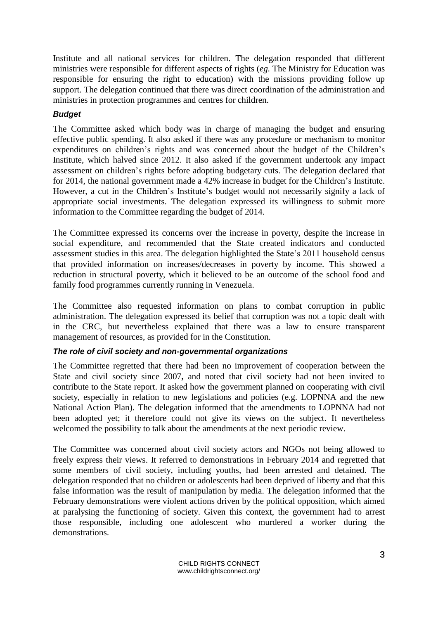Institute and all national services for children. The delegation responded that different ministries were responsible for different aspects of rights (*eg.* The Ministry for Education was responsible for ensuring the right to education) with the missions providing follow up support. The delegation continued that there was direct coordination of the administration and ministries in protection programmes and centres for children.

## *Budget*

The Committee asked which body was in charge of managing the budget and ensuring effective public spending. It also asked if there was any procedure or mechanism to monitor expenditures on children's rights and was concerned about the budget of the Children's Institute, which halved since 2012. It also asked if the government undertook any impact assessment on children's rights before adopting budgetary cuts. The delegation declared that for 2014, the national government made a 42% increase in budget for the Children's Institute. However, a cut in the Children's Institute's budget would not necessarily signify a lack of appropriate social investments. The delegation expressed its willingness to submit more information to the Committee regarding the budget of 2014.

The Committee expressed its concerns over the increase in poverty, despite the increase in social expenditure, and recommended that the State created indicators and conducted assessment studies in this area. The delegation highlighted the State's 2011 household census that provided information on increases/decreases in poverty by income. This showed a reduction in structural poverty, which it believed to be an outcome of the school food and family food programmes currently running in Venezuela.

The Committee also requested information on plans to combat corruption in public administration. The delegation expressed its belief that corruption was not a topic dealt with in the CRC, but nevertheless explained that there was a law to ensure transparent management of resources, as provided for in the Constitution.

#### *The role of civil society and non-governmental organizations*

The Committee regretted that there had been no improvement of cooperation between the State and civil society since 2007**,** and noted that civil society had not been invited to contribute to the State report. It asked how the government planned on cooperating with civil society, especially in relation to new legislations and policies (e.g. LOPNNA and the new National Action Plan). The delegation informed that the amendments to LOPNNA had not been adopted yet; it therefore could not give its views on the subject. It nevertheless welcomed the possibility to talk about the amendments at the next periodic review.

The Committee was concerned about civil society actors and NGOs not being allowed to freely express their views. It referred to demonstrations in February 2014 and regretted that some members of civil society, including youths, had been arrested and detained. The delegation responded that no children or adolescents had been deprived of liberty and that this false information was the result of manipulation by media. The delegation informed that the February demonstrations were violent actions driven by the political opposition, which aimed at paralysing the functioning of society. Given this context, the government had to arrest those responsible, including one adolescent who murdered a worker during the demonstrations.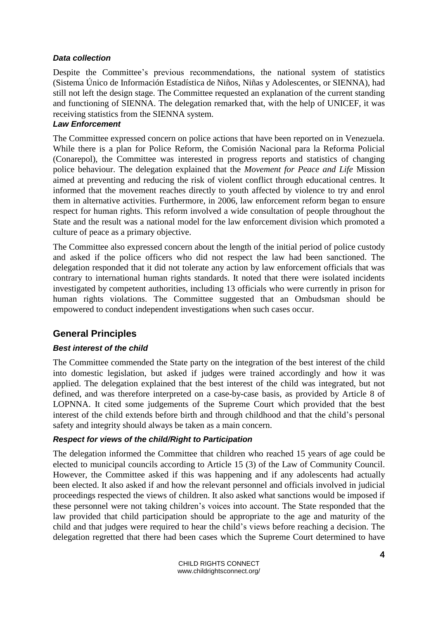#### *Data collection*

Despite the Committee's previous recommendations, the national system of statistics (Sistema Único de Información Estadística de Niños, Niñas y Adolescentes, or SIENNA), had still not left the design stage. The Committee requested an explanation of the current standing and functioning of SIENNA. The delegation remarked that, with the help of UNICEF, it was receiving statistics from the SIENNA system.

#### *Law Enforcement*

The Committee expressed concern on police actions that have been reported on in Venezuela. While there is a plan for Police Reform, the Comisión Nacional para la Reforma Policial (Conarepol), the Committee was interested in progress reports and statistics of changing police behaviour. The delegation explained that the *Movement for Peace and Life* Mission aimed at preventing and reducing the risk of violent conflict through educational centres. It informed that the movement reaches directly to youth affected by violence to try and enrol them in alternative activities. Furthermore, in 2006, law enforcement reform began to ensure respect for human rights. This reform involved a wide consultation of people throughout the State and the result was a national model for the law enforcement division which promoted a culture of peace as a primary objective.

The Committee also expressed concern about the length of the initial period of police custody and asked if the police officers who did not respect the law had been sanctioned. The delegation responded that it did not tolerate any action by law enforcement officials that was contrary to international human rights standards. It noted that there were isolated incidents investigated by competent authorities, including 13 officials who were currently in prison for human rights violations. The Committee suggested that an Ombudsman should be empowered to conduct independent investigations when such cases occur.

# **General Principles**

#### *Best interest of the child*

The Committee commended the State party on the integration of the best interest of the child into domestic legislation, but asked if judges were trained accordingly and how it was applied. The delegation explained that the best interest of the child was integrated, but not defined, and was therefore interpreted on a case-by-case basis, as provided by Article 8 of LOPNNA. It cited some judgements of the Supreme Court which provided that the best interest of the child extends before birth and through childhood and that the child's personal safety and integrity should always be taken as a main concern.

#### *Respect for views of the child/Right to Participation*

The delegation informed the Committee that children who reached 15 years of age could be elected to municipal councils according to Article 15 (3) of the Law of Community Council. However, the Committee asked if this was happening and if any adolescents had actually been elected. It also asked if and how the relevant personnel and officials involved in judicial proceedings respected the views of children. It also asked what sanctions would be imposed if these personnel were not taking children's voices into account. The State responded that the law provided that child participation should be appropriate to the age and maturity of the child and that judges were required to hear the child's views before reaching a decision. The delegation regretted that there had been cases which the Supreme Court determined to have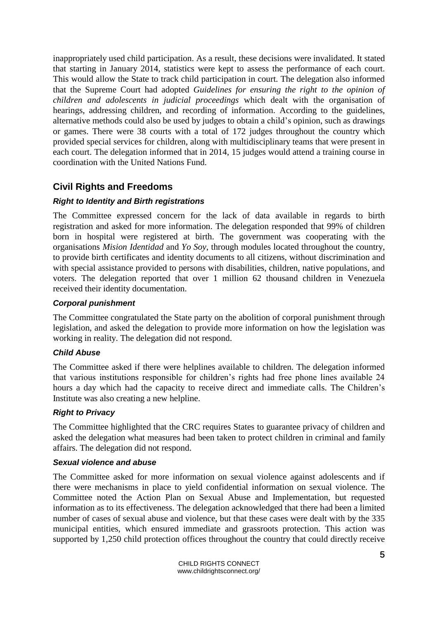inappropriately used child participation. As a result, these decisions were invalidated. It stated that starting in January 2014, statistics were kept to assess the performance of each court. This would allow the State to track child participation in court. The delegation also informed that the Supreme Court had adopted *Guidelines for ensuring the right to the opinion of children and adolescents in judicial proceedings* which dealt with the organisation of hearings, addressing children, and recording of information. According to the guidelines, alternative methods could also be used by judges to obtain a child's opinion, such as drawings or games. There were 38 courts with a total of 172 judges throughout the country which provided special services for children, along with multidisciplinary teams that were present in each court. The delegation informed that in 2014, 15 judges would attend a training course in coordination with the United Nations Fund.

# **Civil Rights and Freedoms**

#### *Right to Identity and Birth registrations*

The Committee expressed concern for the lack of data available in regards to birth registration and asked for more information. The delegation responded that 99% of children born in hospital were registered at birth. The government was cooperating with the organisations *Mision Identidad* and *Yo Soy*, through modules located throughout the country, to provide birth certificates and identity documents to all citizens, without discrimination and with special assistance provided to persons with disabilities, children, native populations, and voters. The delegation reported that over 1 million 62 thousand children in Venezuela received their identity documentation.

#### *Corporal punishment*

The Committee congratulated the State party on the abolition of corporal punishment through legislation, and asked the delegation to provide more information on how the legislation was working in reality. The delegation did not respond.

#### *Child Abuse*

The Committee asked if there were helplines available to children. The delegation informed that various institutions responsible for children's rights had free phone lines available 24 hours a day which had the capacity to receive direct and immediate calls. The Children's Institute was also creating a new helpline.

#### *Right to Privacy*

The Committee highlighted that the CRC requires States to guarantee privacy of children and asked the delegation what measures had been taken to protect children in criminal and family affairs. The delegation did not respond.

#### *Sexual violence and abuse*

The Committee asked for more information on sexual violence against adolescents and if there were mechanisms in place to yield confidential information on sexual violence. The Committee noted the Action Plan on Sexual Abuse and Implementation, but requested information as to its effectiveness. The delegation acknowledged that there had been a limited number of cases of sexual abuse and violence, but that these cases were dealt with by the 335 municipal entities, which ensured immediate and grassroots protection. This action was supported by 1,250 child protection offices throughout the country that could directly receive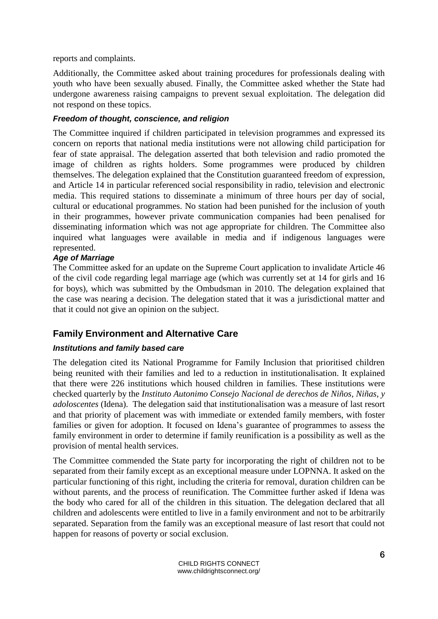reports and complaints.

Additionally, the Committee asked about training procedures for professionals dealing with youth who have been sexually abused. Finally, the Committee asked whether the State had undergone awareness raising campaigns to prevent sexual exploitation. The delegation did not respond on these topics.

## *Freedom of thought, conscience, and religion*

The Committee inquired if children participated in television programmes and expressed its concern on reports that national media institutions were not allowing child participation for fear of state appraisal. The delegation asserted that both television and radio promoted the image of children as rights holders. Some programmes were produced by children themselves. The delegation explained that the Constitution guaranteed freedom of expression, and Article 14 in particular referenced social responsibility in radio, television and electronic media. This required stations to disseminate a minimum of three hours per day of social, cultural or educational programmes. No station had been punished for the inclusion of youth in their programmes, however private communication companies had been penalised for disseminating information which was not age appropriate for children. The Committee also inquired what languages were available in media and if indigenous languages were represented.

## *Age of Marriage*

The Committee asked for an update on the Supreme Court application to invalidate Article 46 of the civil code regarding legal marriage age (which was currently set at 14 for girls and 16 for boys), which was submitted by the Ombudsman in 2010. The delegation explained that the case was nearing a decision. The delegation stated that it was a jurisdictional matter and that it could not give an opinion on the subject.

# **Family Environment and Alternative Care**

#### *Institutions and family based care*

The delegation cited its National Programme for Family Inclusion that prioritised children being reunited with their families and led to a reduction in institutionalisation. It explained that there were 226 institutions which housed children in families. These institutions were checked quarterly by the *Instituto Autonimo Consejo Nacional de derechos de Niños, Niñas, y adoloscentes* (Idena). The delegation said that institutionalisation was a measure of last resort and that priority of placement was with immediate or extended family members, with foster families or given for adoption. It focused on Idena's guarantee of programmes to assess the family environment in order to determine if family reunification is a possibility as well as the provision of mental health services.

The Committee commended the State party for incorporating the right of children not to be separated from their family except as an exceptional measure under LOPNNA. It asked on the particular functioning of this right, including the criteria for removal, duration children can be without parents, and the process of reunification. The Committee further asked if Idena was the body who cared for all of the children in this situation. The delegation declared that all children and adolescents were entitled to live in a family environment and not to be arbitrarily separated. Separation from the family was an exceptional measure of last resort that could not happen for reasons of poverty or social exclusion.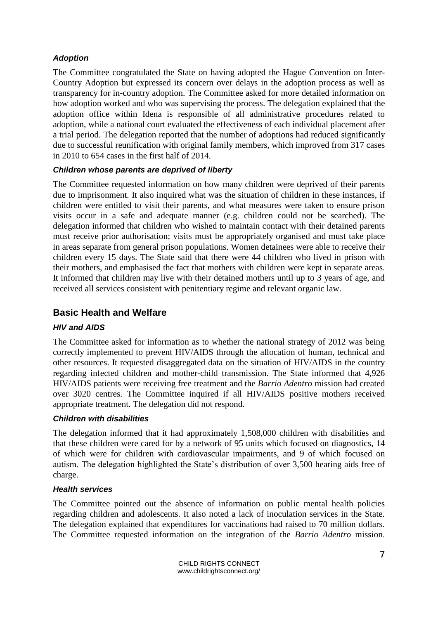## *Adoption*

The Committee congratulated the State on having adopted the Hague Convention on Inter-Country Adoption but expressed its concern over delays in the adoption process as well as transparency for in-country adoption. The Committee asked for more detailed information on how adoption worked and who was supervising the process. The delegation explained that the adoption office within Idena is responsible of all administrative procedures related to adoption, while a national court evaluated the effectiveness of each individual placement after a trial period. The delegation reported that the number of adoptions had reduced significantly due to successful reunification with original family members, which improved from 317 cases in 2010 to 654 cases in the first half of 2014.

## *Children whose parents are deprived of liberty*

The Committee requested information on how many children were deprived of their parents due to imprisonment. It also inquired what was the situation of children in these instances, if children were entitled to visit their parents, and what measures were taken to ensure prison visits occur in a safe and adequate manner (e.g. children could not be searched). The delegation informed that children who wished to maintain contact with their detained parents must receive prior authorisation; visits must be appropriately organised and must take place in areas separate from general prison populations. Women detainees were able to receive their children every 15 days. The State said that there were 44 children who lived in prison with their mothers, and emphasised the fact that mothers with children were kept in separate areas. It informed that children may live with their detained mothers until up to 3 years of age, and received all services consistent with penitentiary regime and relevant organic law.

# **Basic Health and Welfare**

# *HIV and AIDS*

The Committee asked for information as to whether the national strategy of 2012 was being correctly implemented to prevent HIV/AIDS through the allocation of human, technical and other resources. It requested disaggregated data on the situation of HIV/AIDS in the country regarding infected children and mother-child transmission. The State informed that 4,926 HIV/AIDS patients were receiving free treatment and the *Barrio Adentro* mission had created over 3020 centres. The Committee inquired if all HIV/AIDS positive mothers received appropriate treatment. The delegation did not respond.

#### *Children with disabilities*

The delegation informed that it had approximately 1,508,000 children with disabilities and that these children were cared for by a network of 95 units which focused on diagnostics, 14 of which were for children with cardiovascular impairments, and 9 of which focused on autism. The delegation highlighted the State's distribution of over 3,500 hearing aids free of charge.

#### *Health services*

The Committee pointed out the absence of information on public mental health policies regarding children and adolescents. It also noted a lack of inoculation services in the State. The delegation explained that expenditures for vaccinations had raised to 70 million dollars. The Committee requested information on the integration of the *Barrio Adentro* mission.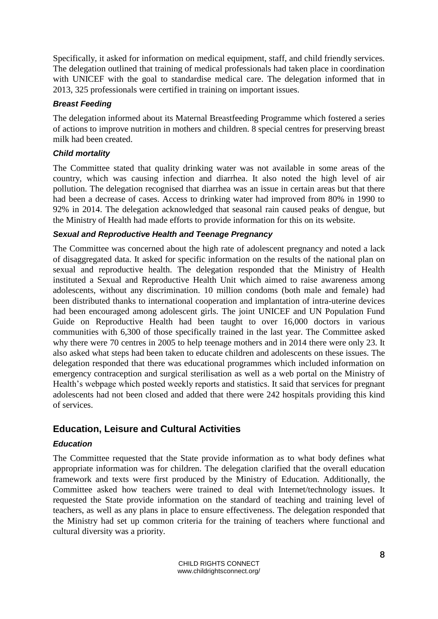Specifically, it asked for information on medical equipment, staff, and child friendly services. The delegation outlined that training of medical professionals had taken place in coordination with UNICEF with the goal to standardise medical care. The delegation informed that in 2013, 325 professionals were certified in training on important issues.

#### *Breast Feeding*

The delegation informed about its Maternal Breastfeeding Programme which fostered a series of actions to improve nutrition in mothers and children. 8 special centres for preserving breast milk had been created.

## *Child mortality*

The Committee stated that quality drinking water was not available in some areas of the country, which was causing infection and diarrhea. It also noted the high level of air pollution. The delegation recognised that diarrhea was an issue in certain areas but that there had been a decrease of cases. Access to drinking water had improved from 80% in 1990 to 92% in 2014. The delegation acknowledged that seasonal rain caused peaks of dengue, but the Ministry of Health had made efforts to provide information for this on its website.

## *Sexual and Reproductive Health and Teenage Pregnancy*

The Committee was concerned about the high rate of adolescent pregnancy and noted a lack of disaggregated data. It asked for specific information on the results of the national plan on sexual and reproductive health. The delegation responded that the Ministry of Health instituted a Sexual and Reproductive Health Unit which aimed to raise awareness among adolescents, without any discrimination. 10 million condoms (both male and female) had been distributed thanks to international cooperation and implantation of intra-uterine devices had been encouraged among adolescent girls. The joint UNICEF and UN Population Fund Guide on Reproductive Health had been taught to over 16,000 doctors in various communities with 6,300 of those specifically trained in the last year. The Committee asked why there were 70 centres in 2005 to help teenage mothers and in 2014 there were only 23. It also asked what steps had been taken to educate children and adolescents on these issues. The delegation responded that there was educational programmes which included information on emergency contraception and surgical sterilisation as well as a web portal on the Ministry of Health's webpage which posted weekly reports and statistics. It said that services for pregnant adolescents had not been closed and added that there were 242 hospitals providing this kind of services.

# **Education, Leisure and Cultural Activities**

# *Education*

The Committee requested that the State provide information as to what body defines what appropriate information was for children. The delegation clarified that the overall education framework and texts were first produced by the Ministry of Education. Additionally, the Committee asked how teachers were trained to deal with Internet/technology issues. It requested the State provide information on the standard of teaching and training level of teachers, as well as any plans in place to ensure effectiveness. The delegation responded that the Ministry had set up common criteria for the training of teachers where functional and cultural diversity was a priority.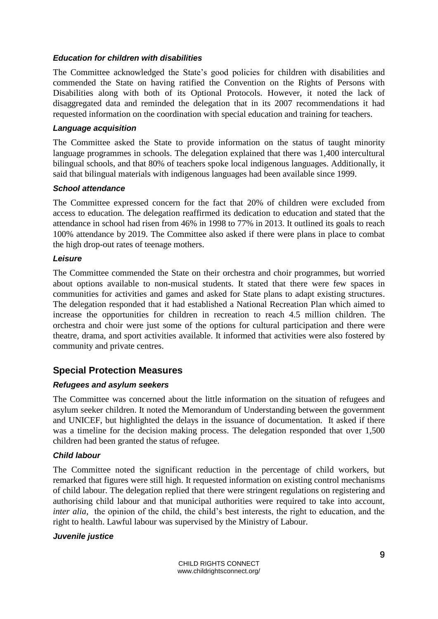#### *Education for children with disabilities*

The Committee acknowledged the State's good policies for children with disabilities and commended the State on having ratified the Convention on the Rights of Persons with Disabilities along with both of its Optional Protocols. However, it noted the lack of disaggregated data and reminded the delegation that in its 2007 recommendations it had requested information on the coordination with special education and training for teachers.

#### *Language acquisition*

The Committee asked the State to provide information on the status of taught minority language programmes in schools. The delegation explained that there was 1,400 intercultural bilingual schools, and that 80% of teachers spoke local indigenous languages. Additionally, it said that bilingual materials with indigenous languages had been available since 1999.

#### *School attendance*

The Committee expressed concern for the fact that 20% of children were excluded from access to education. The delegation reaffirmed its dedication to education and stated that the attendance in school had risen from 46% in 1998 to 77% in 2013. It outlined its goals to reach 100% attendance by 2019. The Committee also asked if there were plans in place to combat the high drop-out rates of teenage mothers.

#### *Leisure*

The Committee commended the State on their orchestra and choir programmes, but worried about options available to non-musical students. It stated that there were few spaces in communities for activities and games and asked for State plans to adapt existing structures. The delegation responded that it had established a National Recreation Plan which aimed to increase the opportunities for children in recreation to reach 4.5 million children. The orchestra and choir were just some of the options for cultural participation and there were theatre, drama, and sport activities available. It informed that activities were also fostered by community and private centres.

# **Special Protection Measures**

#### *Refugees and asylum seekers*

The Committee was concerned about the little information on the situation of refugees and asylum seeker children. It noted the Memorandum of Understanding between the government and UNICEF, but highlighted the delays in the issuance of documentation. It asked if there was a timeline for the decision making process. The delegation responded that over 1,500 children had been granted the status of refugee.

#### *Child labour*

The Committee noted the significant reduction in the percentage of child workers, but remarked that figures were still high. It requested information on existing control mechanisms of child labour. The delegation replied that there were stringent regulations on registering and authorising child labour and that municipal authorities were required to take into account, *inter alia*, the opinion of the child, the child's best interests, the right to education, and the right to health. Lawful labour was supervised by the Ministry of Labour.

#### *Juvenile justice*